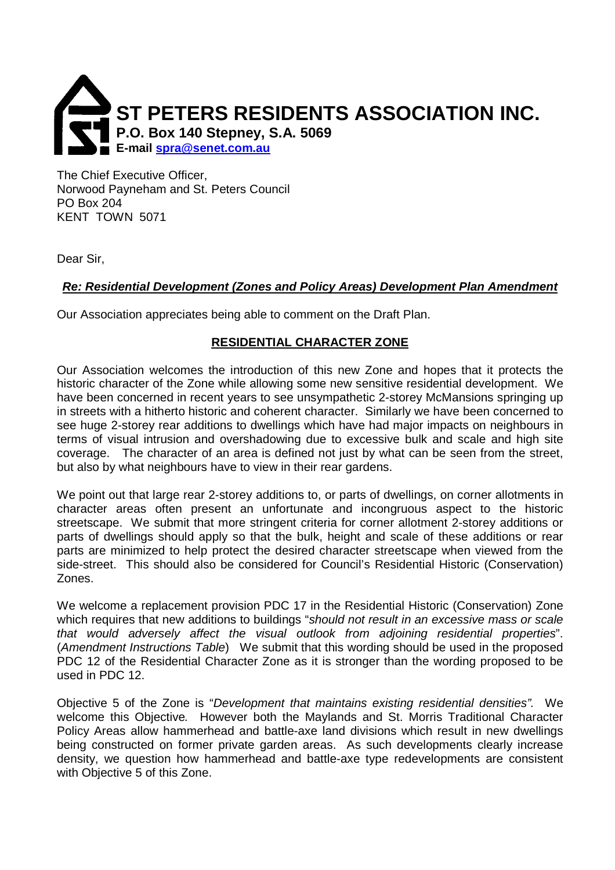

The Chief Executive Officer, Norwood Payneham and St. Peters Council PO Box 204 KENT TOWN 5071

Dear Sir,

# **Re: Residential Development (Zones and Policy Areas) Development Plan Amendment**

Our Association appreciates being able to comment on the Draft Plan.

# **RESIDENTIAL CHARACTER ZONE**

Our Association welcomes the introduction of this new Zone and hopes that it protects the historic character of the Zone while allowing some new sensitive residential development. We have been concerned in recent years to see unsympathetic 2-storey McMansions springing up in streets with a hitherto historic and coherent character. Similarly we have been concerned to see huge 2-storey rear additions to dwellings which have had major impacts on neighbours in terms of visual intrusion and overshadowing due to excessive bulk and scale and high site coverage. The character of an area is defined not just by what can be seen from the street, but also by what neighbours have to view in their rear gardens.

We point out that large rear 2-storey additions to, or parts of dwellings, on corner allotments in character areas often present an unfortunate and incongruous aspect to the historic streetscape. We submit that more stringent criteria for corner allotment 2-storey additions or parts of dwellings should apply so that the bulk, height and scale of these additions or rear parts are minimized to help protect the desired character streetscape when viewed from the side-street. This should also be considered for Council's Residential Historic (Conservation) Zones.

We welcome a replacement provision PDC 17 in the Residential Historic (Conservation) Zone which requires that new additions to buildings "should not result in an excessive mass or scale that would adversely affect the visual outlook from adjoining residential properties". (Amendment Instructions Table) We submit that this wording should be used in the proposed PDC 12 of the Residential Character Zone as it is stronger than the wording proposed to be used in PDC 12.

Objective 5 of the Zone is "Development that maintains existing residential densities". We welcome this Objective. However both the Maylands and St. Morris Traditional Character Policy Areas allow hammerhead and battle-axe land divisions which result in new dwellings being constructed on former private garden areas. As such developments clearly increase density, we question how hammerhead and battle-axe type redevelopments are consistent with Objective 5 of this Zone.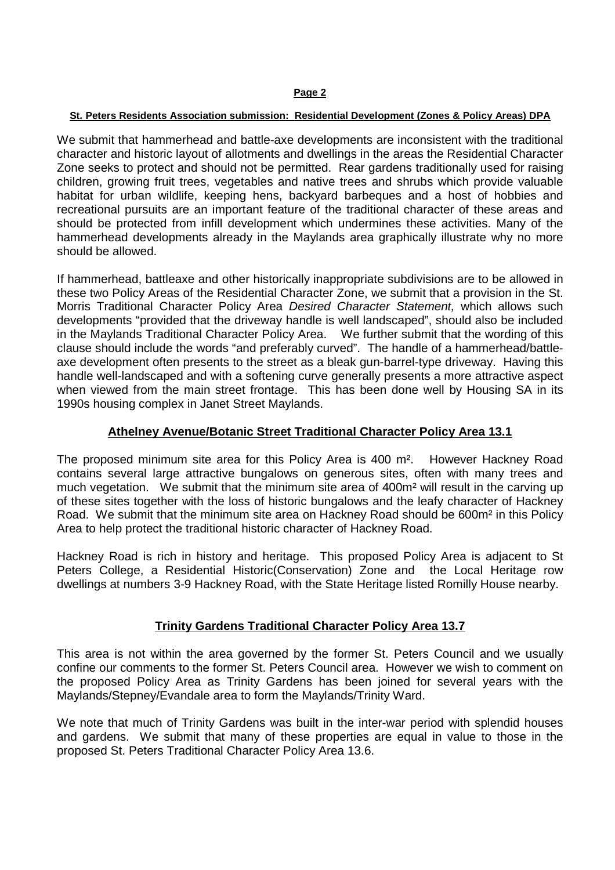#### **St. Peters Residents Association submission: Residential Development (Zones & Policy Areas) DPA**

We submit that hammerhead and battle-axe developments are inconsistent with the traditional character and historic layout of allotments and dwellings in the areas the Residential Character Zone seeks to protect and should not be permitted. Rear gardens traditionally used for raising children, growing fruit trees, vegetables and native trees and shrubs which provide valuable habitat for urban wildlife, keeping hens, backyard barbeques and a host of hobbies and recreational pursuits are an important feature of the traditional character of these areas and should be protected from infill development which undermines these activities. Many of the hammerhead developments already in the Maylands area graphically illustrate why no more should be allowed.

If hammerhead, battleaxe and other historically inappropriate subdivisions are to be allowed in these two Policy Areas of the Residential Character Zone, we submit that a provision in the St. Morris Traditional Character Policy Area Desired Character Statement, which allows such developments "provided that the driveway handle is well landscaped", should also be included in the Maylands Traditional Character Policy Area. We further submit that the wording of this clause should include the words "and preferably curved". The handle of a hammerhead/battleaxe development often presents to the street as a bleak gun-barrel-type driveway. Having this handle well-landscaped and with a softening curve generally presents a more attractive aspect when viewed from the main street frontage. This has been done well by Housing SA in its 1990s housing complex in Janet Street Maylands.

## **Athelney Avenue/Botanic Street Traditional Character Policy Area 13.1**

The proposed minimum site area for this Policy Area is 400 m². However Hackney Road contains several large attractive bungalows on generous sites, often with many trees and much vegetation. We submit that the minimum site area of 400m<sup>2</sup> will result in the carving up of these sites together with the loss of historic bungalows and the leafy character of Hackney Road. We submit that the minimum site area on Hackney Road should be 600m² in this Policy Area to help protect the traditional historic character of Hackney Road.

Hackney Road is rich in history and heritage. This proposed Policy Area is adjacent to St Peters College, a Residential Historic(Conservation) Zone and the Local Heritage row dwellings at numbers 3-9 Hackney Road, with the State Heritage listed Romilly House nearby.

## **Trinity Gardens Traditional Character Policy Area 13.7**

This area is not within the area governed by the former St. Peters Council and we usually confine our comments to the former St. Peters Council area. However we wish to comment on the proposed Policy Area as Trinity Gardens has been joined for several years with the Maylands/Stepney/Evandale area to form the Maylands/Trinity Ward.

We note that much of Trinity Gardens was built in the inter-war period with splendid houses and gardens. We submit that many of these properties are equal in value to those in the proposed St. Peters Traditional Character Policy Area 13.6.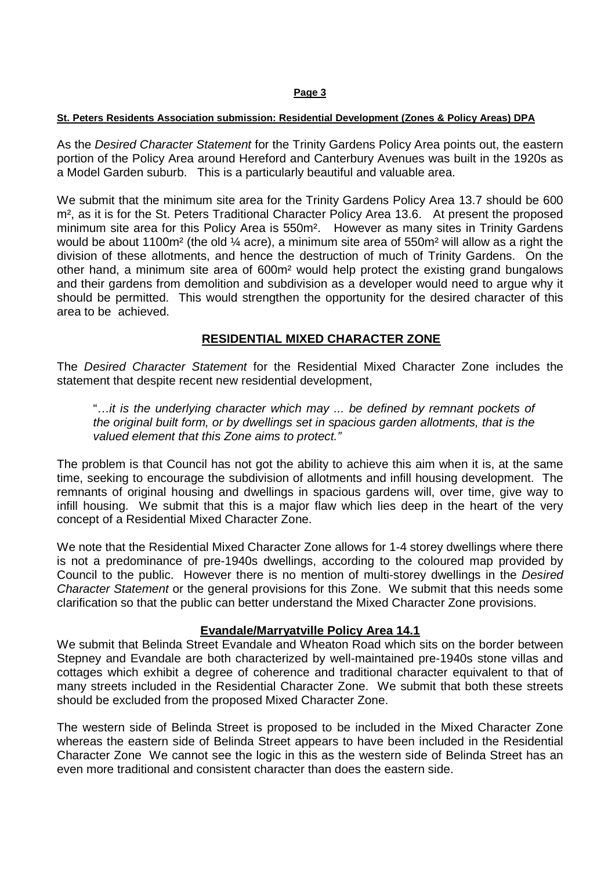#### **St. Peters Residents Association submission: Residential Development (Zones & Policy Areas) DPA**

As the Desired Character Statement for the Trinity Gardens Policy Area points out, the eastern portion of the Policy Area around Hereford and Canterbury Avenues was built in the 1920s as a Model Garden suburb. This is a particularly beautiful and valuable area.

We submit that the minimum site area for the Trinity Gardens Policy Area 13.7 should be 600 m<sup>2</sup>, as it is for the St. Peters Traditional Character Policy Area 13.6. At present the proposed minimum site area for this Policy Area is 550m². However as many sites in Trinity Gardens would be about 1100 $m<sup>2</sup>$  (the old  $\frac{1}{4}$  acre), a minimum site area of 550 $m<sup>2</sup>$  will allow as a right the division of these allotments, and hence the destruction of much of Trinity Gardens. On the other hand, a minimum site area of 600m² would help protect the existing grand bungalows and their gardens from demolition and subdivision as a developer would need to argue why it should be permitted. This would strengthen the opportunity for the desired character of this area to be achieved.

## **RESIDENTIAL MIXED CHARACTER ZONE**

The Desired Character Statement for the Residential Mixed Character Zone includes the statement that despite recent new residential development,

"…it is the underlying character which may ... be defined by remnant pockets of the original built form, or by dwellings set in spacious garden allotments, that is the valued element that this Zone aims to protect."

The problem is that Council has not got the ability to achieve this aim when it is, at the same time, seeking to encourage the subdivision of allotments and infill housing development. The remnants of original housing and dwellings in spacious gardens will, over time, give way to infill housing. We submit that this is a major flaw which lies deep in the heart of the very concept of a Residential Mixed Character Zone.

We note that the Residential Mixed Character Zone allows for 1-4 storey dwellings where there is not a predominance of pre-1940s dwellings, according to the coloured map provided by Council to the public. However there is no mention of multi-storey dwellings in the Desired Character Statement or the general provisions for this Zone. We submit that this needs some clarification so that the public can better understand the Mixed Character Zone provisions.

## **Evandale/Marryatville Policy Area 14.1**

We submit that Belinda Street Evandale and Wheaton Road which sits on the border between Stepney and Evandale are both characterized by well-maintained pre-1940s stone villas and cottages which exhibit a degree of coherence and traditional character equivalent to that of many streets included in the Residential Character Zone. We submit that both these streets should be excluded from the proposed Mixed Character Zone.

The western side of Belinda Street is proposed to be included in the Mixed Character Zone whereas the eastern side of Belinda Street appears to have been included in the Residential Character Zone We cannot see the logic in this as the western side of Belinda Street has an even more traditional and consistent character than does the eastern side.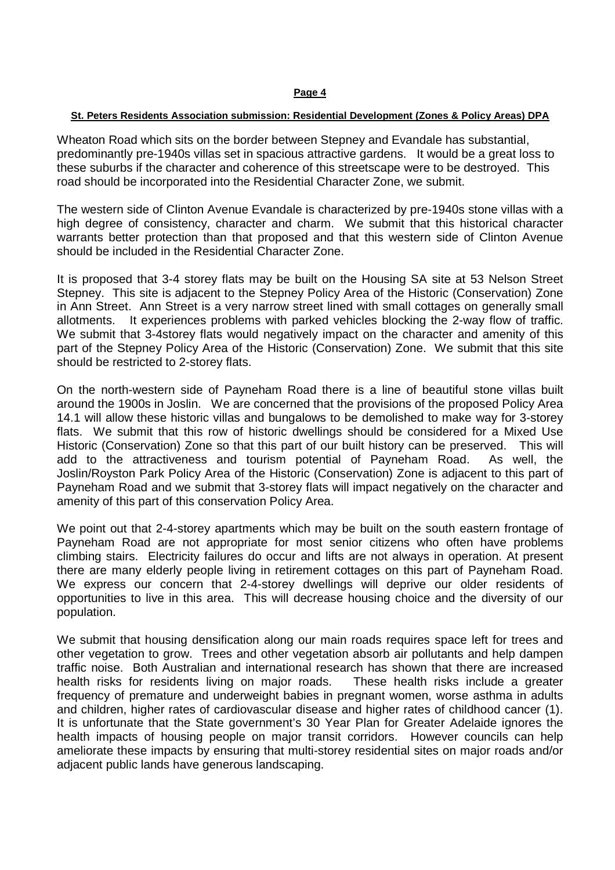#### **St. Peters Residents Association submission: Residential Development (Zones & Policy Areas) DPA**

Wheaton Road which sits on the border between Stepney and Evandale has substantial, predominantly pre-1940s villas set in spacious attractive gardens. It would be a great loss to these suburbs if the character and coherence of this streetscape were to be destroyed. This road should be incorporated into the Residential Character Zone, we submit.

The western side of Clinton Avenue Evandale is characterized by pre-1940s stone villas with a high degree of consistency, character and charm. We submit that this historical character warrants better protection than that proposed and that this western side of Clinton Avenue should be included in the Residential Character Zone.

It is proposed that 3-4 storey flats may be built on the Housing SA site at 53 Nelson Street Stepney. This site is adjacent to the Stepney Policy Area of the Historic (Conservation) Zone in Ann Street. Ann Street is a very narrow street lined with small cottages on generally small allotments. It experiences problems with parked vehicles blocking the 2-way flow of traffic. We submit that 3-4storey flats would negatively impact on the character and amenity of this part of the Stepney Policy Area of the Historic (Conservation) Zone. We submit that this site should be restricted to 2-storey flats.

On the north-western side of Payneham Road there is a line of beautiful stone villas built around the 1900s in Joslin. We are concerned that the provisions of the proposed Policy Area 14.1 will allow these historic villas and bungalows to be demolished to make way for 3-storey flats. We submit that this row of historic dwellings should be considered for a Mixed Use Historic (Conservation) Zone so that this part of our built history can be preserved. This will add to the attractiveness and tourism potential of Payneham Road. As well, the Joslin/Royston Park Policy Area of the Historic (Conservation) Zone is adjacent to this part of Payneham Road and we submit that 3-storey flats will impact negatively on the character and amenity of this part of this conservation Policy Area.

We point out that 2-4-storey apartments which may be built on the south eastern frontage of Payneham Road are not appropriate for most senior citizens who often have problems climbing stairs. Electricity failures do occur and lifts are not always in operation. At present there are many elderly people living in retirement cottages on this part of Payneham Road. We express our concern that 2-4-storey dwellings will deprive our older residents of opportunities to live in this area. This will decrease housing choice and the diversity of our population.

We submit that housing densification along our main roads requires space left for trees and other vegetation to grow. Trees and other vegetation absorb air pollutants and help dampen traffic noise. Both Australian and international research has shown that there are increased health risks for residents living on major roads. These health risks include a greater frequency of premature and underweight babies in pregnant women, worse asthma in adults and children, higher rates of cardiovascular disease and higher rates of childhood cancer (1). It is unfortunate that the State government's 30 Year Plan for Greater Adelaide ignores the health impacts of housing people on major transit corridors. However councils can help ameliorate these impacts by ensuring that multi-storey residential sites on major roads and/or adjacent public lands have generous landscaping.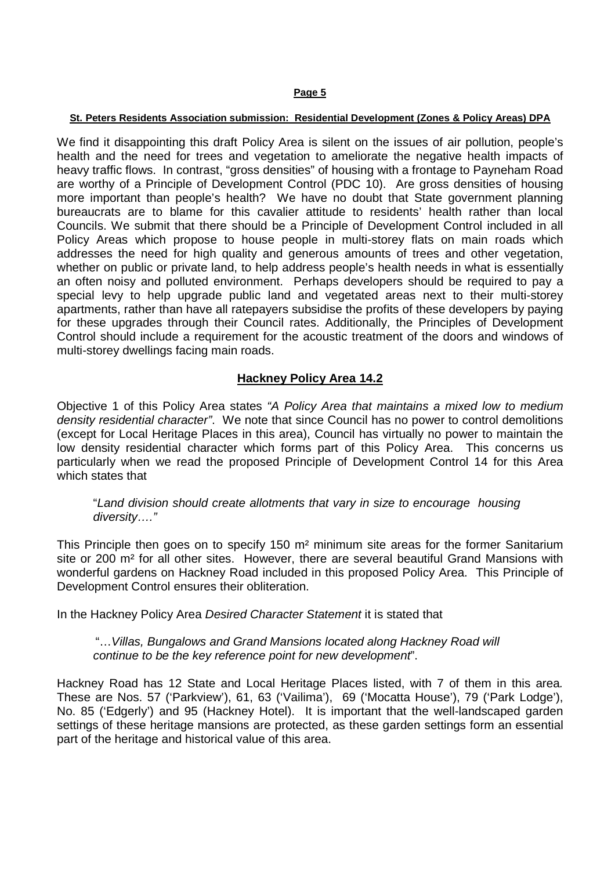#### **St. Peters Residents Association submission: Residential Development (Zones & Policy Areas) DPA**

We find it disappointing this draft Policy Area is silent on the issues of air pollution, people's health and the need for trees and vegetation to ameliorate the negative health impacts of heavy traffic flows. In contrast, "gross densities" of housing with a frontage to Payneham Road are worthy of a Principle of Development Control (PDC 10). Are gross densities of housing more important than people's health? We have no doubt that State government planning bureaucrats are to blame for this cavalier attitude to residents' health rather than local Councils. We submit that there should be a Principle of Development Control included in all Policy Areas which propose to house people in multi-storey flats on main roads which addresses the need for high quality and generous amounts of trees and other vegetation, whether on public or private land, to help address people's health needs in what is essentially an often noisy and polluted environment. Perhaps developers should be required to pay a special levy to help upgrade public land and vegetated areas next to their multi-storey apartments, rather than have all ratepayers subsidise the profits of these developers by paying for these upgrades through their Council rates. Additionally, the Principles of Development Control should include a requirement for the acoustic treatment of the doors and windows of multi-storey dwellings facing main roads.

# **Hackney Policy Area 14.2**

Objective 1 of this Policy Area states "A Policy Area that maintains a mixed low to medium density residential character". We note that since Council has no power to control demolitions (except for Local Heritage Places in this area), Council has virtually no power to maintain the low density residential character which forms part of this Policy Area. This concerns us particularly when we read the proposed Principle of Development Control 14 for this Area which states that

"Land division should create allotments that vary in size to encourage housing diversity…."

This Principle then goes on to specify 150 m² minimum site areas for the former Sanitarium site or 200 m<sup>2</sup> for all other sites. However, there are several beautiful Grand Mansions with wonderful gardens on Hackney Road included in this proposed Policy Area. This Principle of Development Control ensures their obliteration.

In the Hackney Policy Area Desired Character Statement it is stated that

"…Villas, Bungalows and Grand Mansions located along Hackney Road will continue to be the key reference point for new development".

Hackney Road has 12 State and Local Heritage Places listed, with 7 of them in this area. These are Nos. 57 ('Parkview'), 61, 63 ('Vailima'), 69 ('Mocatta House'), 79 ('Park Lodge'), No. 85 ('Edgerly') and 95 (Hackney Hotel). It is important that the well-landscaped garden settings of these heritage mansions are protected, as these garden settings form an essential part of the heritage and historical value of this area.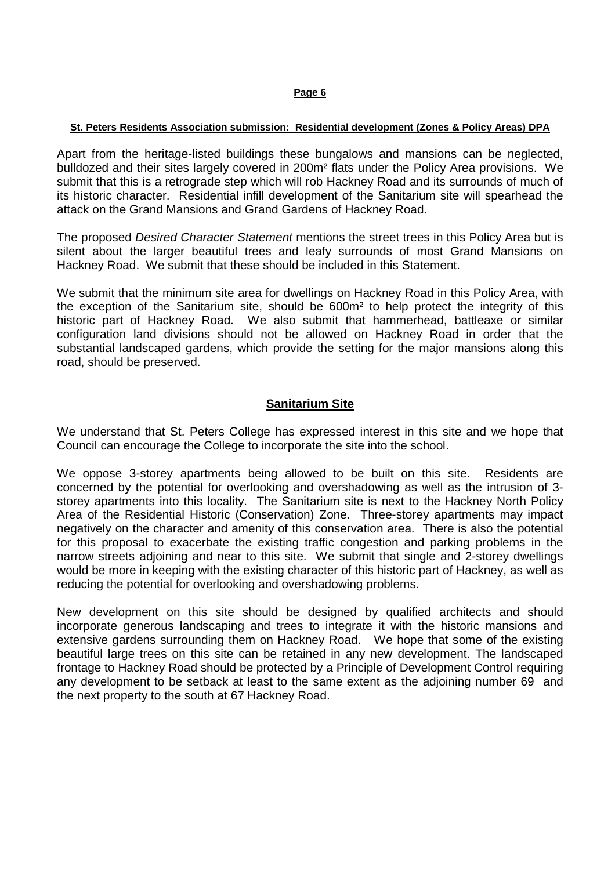## **St. Peters Residents Association submission: Residential development (Zones & Policy Areas) DPA**

Apart from the heritage-listed buildings these bungalows and mansions can be neglected, bulldozed and their sites largely covered in 200m² flats under the Policy Area provisions. We submit that this is a retrograde step which will rob Hackney Road and its surrounds of much of its historic character. Residential infill development of the Sanitarium site will spearhead the attack on the Grand Mansions and Grand Gardens of Hackney Road.

The proposed Desired Character Statement mentions the street trees in this Policy Area but is silent about the larger beautiful trees and leafy surrounds of most Grand Mansions on Hackney Road. We submit that these should be included in this Statement.

We submit that the minimum site area for dwellings on Hackney Road in this Policy Area, with the exception of the Sanitarium site, should be 600m² to help protect the integrity of this historic part of Hackney Road. We also submit that hammerhead, battleaxe or similar configuration land divisions should not be allowed on Hackney Road in order that the substantial landscaped gardens, which provide the setting for the major mansions along this road, should be preserved.

## **Sanitarium Site**

We understand that St. Peters College has expressed interest in this site and we hope that Council can encourage the College to incorporate the site into the school.

We oppose 3-storey apartments being allowed to be built on this site. Residents are concerned by the potential for overlooking and overshadowing as well as the intrusion of 3 storey apartments into this locality. The Sanitarium site is next to the Hackney North Policy Area of the Residential Historic (Conservation) Zone. Three-storey apartments may impact negatively on the character and amenity of this conservation area. There is also the potential for this proposal to exacerbate the existing traffic congestion and parking problems in the narrow streets adjoining and near to this site. We submit that single and 2-storey dwellings would be more in keeping with the existing character of this historic part of Hackney, as well as reducing the potential for overlooking and overshadowing problems.

New development on this site should be designed by qualified architects and should incorporate generous landscaping and trees to integrate it with the historic mansions and extensive gardens surrounding them on Hackney Road. We hope that some of the existing beautiful large trees on this site can be retained in any new development. The landscaped frontage to Hackney Road should be protected by a Principle of Development Control requiring any development to be setback at least to the same extent as the adjoining number 69 and the next property to the south at 67 Hackney Road.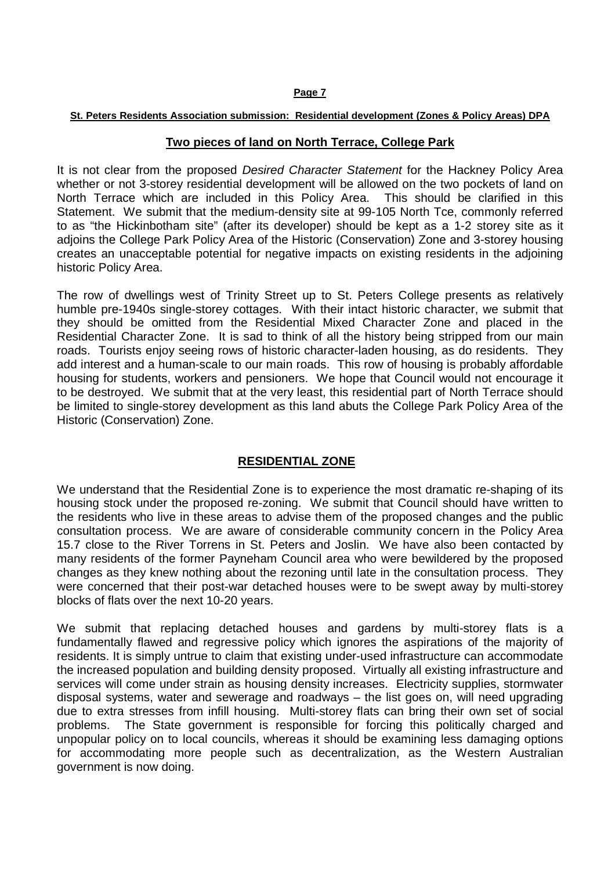### **St. Peters Residents Association submission: Residential development (Zones & Policy Areas) DPA**

## **Two pieces of land on North Terrace, College Park**

It is not clear from the proposed Desired Character Statement for the Hackney Policy Area whether or not 3-storey residential development will be allowed on the two pockets of land on North Terrace which are included in this Policy Area. This should be clarified in this Statement. We submit that the medium-density site at 99-105 North Tce, commonly referred to as "the Hickinbotham site" (after its developer) should be kept as a 1-2 storey site as it adjoins the College Park Policy Area of the Historic (Conservation) Zone and 3-storey housing creates an unacceptable potential for negative impacts on existing residents in the adjoining historic Policy Area.

The row of dwellings west of Trinity Street up to St. Peters College presents as relatively humble pre-1940s single-storey cottages. With their intact historic character, we submit that they should be omitted from the Residential Mixed Character Zone and placed in the Residential Character Zone. It is sad to think of all the history being stripped from our main roads. Tourists enjoy seeing rows of historic character-laden housing, as do residents. They add interest and a human-scale to our main roads. This row of housing is probably affordable housing for students, workers and pensioners. We hope that Council would not encourage it to be destroyed. We submit that at the very least, this residential part of North Terrace should be limited to single-storey development as this land abuts the College Park Policy Area of the Historic (Conservation) Zone.

## **RESIDENTIAL ZONE**

We understand that the Residential Zone is to experience the most dramatic re-shaping of its housing stock under the proposed re-zoning. We submit that Council should have written to the residents who live in these areas to advise them of the proposed changes and the public consultation process. We are aware of considerable community concern in the Policy Area 15.7 close to the River Torrens in St. Peters and Joslin. We have also been contacted by many residents of the former Payneham Council area who were bewildered by the proposed changes as they knew nothing about the rezoning until late in the consultation process. They were concerned that their post-war detached houses were to be swept away by multi-storey blocks of flats over the next 10-20 years.

We submit that replacing detached houses and gardens by multi-storey flats is a fundamentally flawed and regressive policy which ignores the aspirations of the majority of residents. It is simply untrue to claim that existing under-used infrastructure can accommodate the increased population and building density proposed. Virtually all existing infrastructure and services will come under strain as housing density increases. Electricity supplies, stormwater disposal systems, water and sewerage and roadways – the list goes on, will need upgrading due to extra stresses from infill housing. Multi-storey flats can bring their own set of social problems. The State government is responsible for forcing this politically charged and unpopular policy on to local councils, whereas it should be examining less damaging options for accommodating more people such as decentralization, as the Western Australian government is now doing.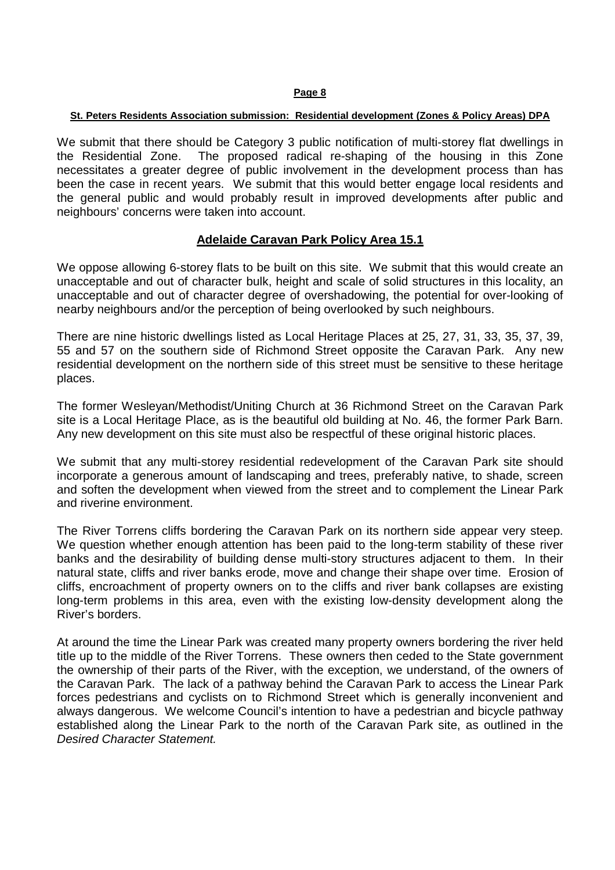#### **St. Peters Residents Association submission: Residential development (Zones & Policy Areas) DPA**

We submit that there should be Category 3 public notification of multi-storey flat dwellings in the Residential Zone. The proposed radical re-shaping of the housing in this Zone necessitates a greater degree of public involvement in the development process than has been the case in recent years. We submit that this would better engage local residents and the general public and would probably result in improved developments after public and neighbours' concerns were taken into account.

## **Adelaide Caravan Park Policy Area 15.1**

We oppose allowing 6-storey flats to be built on this site. We submit that this would create an unacceptable and out of character bulk, height and scale of solid structures in this locality, an unacceptable and out of character degree of overshadowing, the potential for over-looking of nearby neighbours and/or the perception of being overlooked by such neighbours.

There are nine historic dwellings listed as Local Heritage Places at 25, 27, 31, 33, 35, 37, 39, 55 and 57 on the southern side of Richmond Street opposite the Caravan Park. Any new residential development on the northern side of this street must be sensitive to these heritage places.

The former Wesleyan/Methodist/Uniting Church at 36 Richmond Street on the Caravan Park site is a Local Heritage Place, as is the beautiful old building at No. 46, the former Park Barn. Any new development on this site must also be respectful of these original historic places.

We submit that any multi-storey residential redevelopment of the Caravan Park site should incorporate a generous amount of landscaping and trees, preferably native, to shade, screen and soften the development when viewed from the street and to complement the Linear Park and riverine environment.

The River Torrens cliffs bordering the Caravan Park on its northern side appear very steep. We question whether enough attention has been paid to the long-term stability of these river banks and the desirability of building dense multi-story structures adjacent to them. In their natural state, cliffs and river banks erode, move and change their shape over time. Erosion of cliffs, encroachment of property owners on to the cliffs and river bank collapses are existing long-term problems in this area, even with the existing low-density development along the River's borders.

At around the time the Linear Park was created many property owners bordering the river held title up to the middle of the River Torrens. These owners then ceded to the State government the ownership of their parts of the River, with the exception, we understand, of the owners of the Caravan Park. The lack of a pathway behind the Caravan Park to access the Linear Park forces pedestrians and cyclists on to Richmond Street which is generally inconvenient and always dangerous. We welcome Council's intention to have a pedestrian and bicycle pathway established along the Linear Park to the north of the Caravan Park site, as outlined in the Desired Character Statement.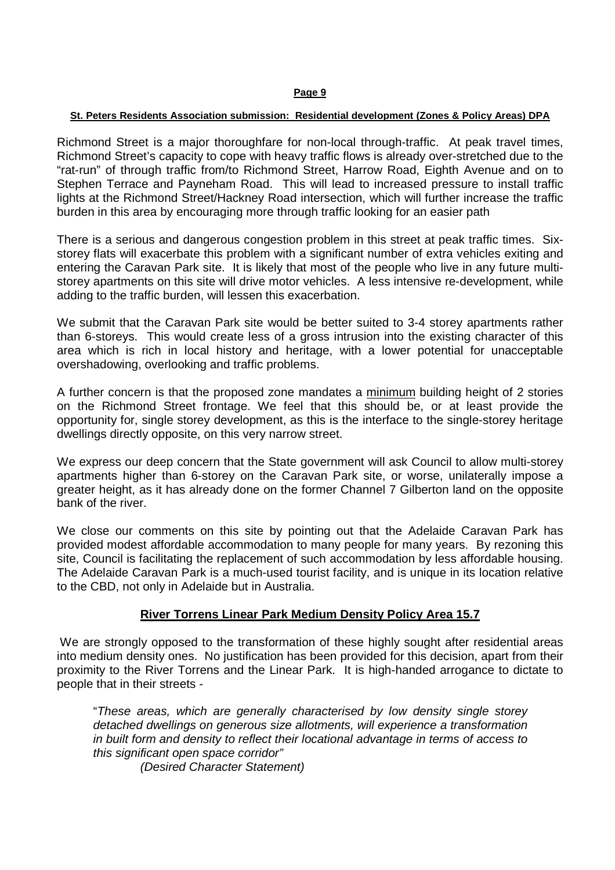### **St. Peters Residents Association submission: Residential development (Zones & Policy Areas) DPA**

Richmond Street is a major thoroughfare for non-local through-traffic. At peak travel times, Richmond Street's capacity to cope with heavy traffic flows is already over-stretched due to the "rat-run" of through traffic from/to Richmond Street, Harrow Road, Eighth Avenue and on to Stephen Terrace and Payneham Road. This will lead to increased pressure to install traffic lights at the Richmond Street/Hackney Road intersection, which will further increase the traffic burden in this area by encouraging more through traffic looking for an easier path

There is a serious and dangerous congestion problem in this street at peak traffic times. Sixstorey flats will exacerbate this problem with a significant number of extra vehicles exiting and entering the Caravan Park site. It is likely that most of the people who live in any future multistorey apartments on this site will drive motor vehicles. A less intensive re-development, while adding to the traffic burden, will lessen this exacerbation.

We submit that the Caravan Park site would be better suited to 3-4 storey apartments rather than 6-storeys. This would create less of a gross intrusion into the existing character of this area which is rich in local history and heritage, with a lower potential for unacceptable overshadowing, overlooking and traffic problems.

A further concern is that the proposed zone mandates a minimum building height of 2 stories on the Richmond Street frontage. We feel that this should be, or at least provide the opportunity for, single storey development, as this is the interface to the single-storey heritage dwellings directly opposite, on this very narrow street.

We express our deep concern that the State government will ask Council to allow multi-storey apartments higher than 6-storey on the Caravan Park site, or worse, unilaterally impose a greater height, as it has already done on the former Channel 7 Gilberton land on the opposite bank of the river.

We close our comments on this site by pointing out that the Adelaide Caravan Park has provided modest affordable accommodation to many people for many years. By rezoning this site, Council is facilitating the replacement of such accommodation by less affordable housing. The Adelaide Caravan Park is a much-used tourist facility, and is unique in its location relative to the CBD, not only in Adelaide but in Australia.

## **River Torrens Linear Park Medium Density Policy Area 15.7**

We are strongly opposed to the transformation of these highly sought after residential areas into medium density ones. No justification has been provided for this decision, apart from their proximity to the River Torrens and the Linear Park. It is high-handed arrogance to dictate to people that in their streets -

"These areas, which are generally characterised by low density single storey detached dwellings on generous size allotments, will experience a transformation in built form and density to reflect their locational advantage in terms of access to this significant open space corridor"

(Desired Character Statement)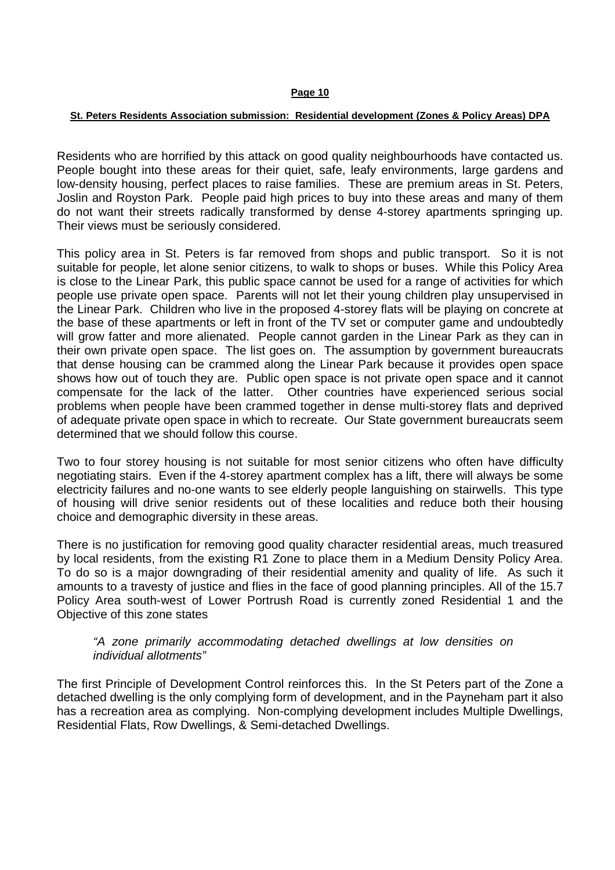#### **St. Peters Residents Association submission: Residential development (Zones & Policy Areas) DPA**

Residents who are horrified by this attack on good quality neighbourhoods have contacted us. People bought into these areas for their quiet, safe, leafy environments, large gardens and low-density housing, perfect places to raise families. These are premium areas in St. Peters, Joslin and Royston Park. People paid high prices to buy into these areas and many of them do not want their streets radically transformed by dense 4-storey apartments springing up. Their views must be seriously considered.

This policy area in St. Peters is far removed from shops and public transport. So it is not suitable for people, let alone senior citizens, to walk to shops or buses. While this Policy Area is close to the Linear Park, this public space cannot be used for a range of activities for which people use private open space. Parents will not let their young children play unsupervised in the Linear Park. Children who live in the proposed 4-storey flats will be playing on concrete at the base of these apartments or left in front of the TV set or computer game and undoubtedly will grow fatter and more alienated. People cannot garden in the Linear Park as they can in their own private open space. The list goes on. The assumption by government bureaucrats that dense housing can be crammed along the Linear Park because it provides open space shows how out of touch they are. Public open space is not private open space and it cannot compensate for the lack of the latter. Other countries have experienced serious social problems when people have been crammed together in dense multi-storey flats and deprived of adequate private open space in which to recreate. Our State government bureaucrats seem determined that we should follow this course.

Two to four storey housing is not suitable for most senior citizens who often have difficulty negotiating stairs. Even if the 4-storey apartment complex has a lift, there will always be some electricity failures and no-one wants to see elderly people languishing on stairwells. This type of housing will drive senior residents out of these localities and reduce both their housing choice and demographic diversity in these areas.

There is no justification for removing good quality character residential areas, much treasured by local residents, from the existing R1 Zone to place them in a Medium Density Policy Area. To do so is a major downgrading of their residential amenity and quality of life. As such it amounts to a travesty of justice and flies in the face of good planning principles. All of the 15.7 Policy Area south-west of Lower Portrush Road is currently zoned Residential 1 and the Objective of this zone states

## "A zone primarily accommodating detached dwellings at low densities on individual allotments"

The first Principle of Development Control reinforces this. In the St Peters part of the Zone a detached dwelling is the only complying form of development, and in the Payneham part it also has a recreation area as complying. Non-complying development includes Multiple Dwellings, Residential Flats, Row Dwellings, & Semi-detached Dwellings.